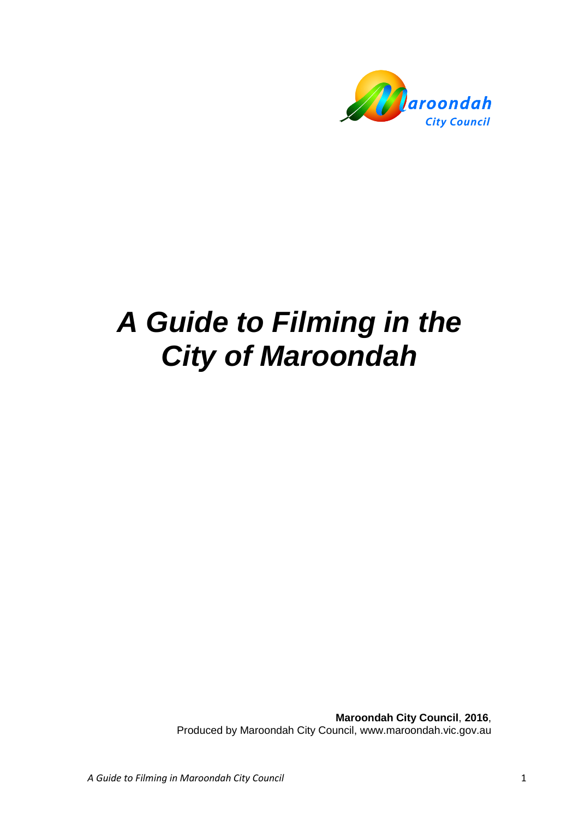

# *A Guide to Filming in the City of Maroondah*

**Maroondah City Council**, **2016**, Produced by Maroondah City Council, www.maroondah.vic.gov.au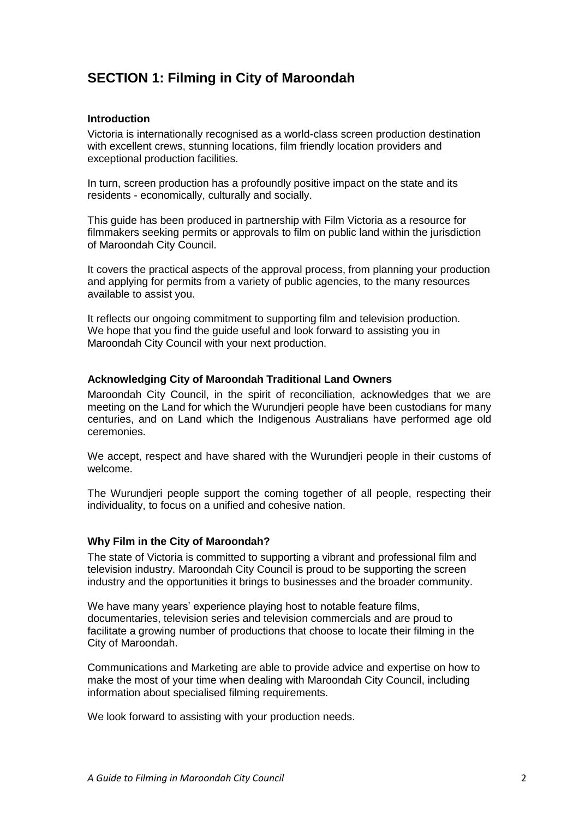# <span id="page-1-0"></span>**SECTION 1: Filming in City of Maroondah**

### <span id="page-1-1"></span>**Introduction**

Victoria is internationally recognised as a world-class screen production destination with excellent crews, stunning locations, film friendly location providers and exceptional production facilities.

In turn, screen production has a profoundly positive impact on the state and its residents - economically, culturally and socially.

This guide has been produced in partnership with Film Victoria as a resource for filmmakers seeking permits or approvals to film on public land within the jurisdiction of Maroondah City Council.

It covers the practical aspects of the approval process, from planning your production and applying for permits from a variety of public agencies, to the many resources available to assist you.

It reflects our ongoing commitment to supporting film and television production. We hope that you find the guide useful and look forward to assisting you in Maroondah City Council with your next production.

### <span id="page-1-2"></span>**Acknowledging City of Maroondah Traditional Land Owners**

Maroondah City Council, in the spirit of reconciliation, acknowledges that we are meeting on the Land for which the Wurundjeri people have been custodians for many centuries, and on Land which the Indigenous Australians have performed age old ceremonies.

We accept, respect and have shared with the Wurundjeri people in their customs of welcome.

The Wurundjeri people support the coming together of all people, respecting their individuality, to focus on a unified and cohesive nation.

### <span id="page-1-3"></span>**Why Film in the City of Maroondah?**

The state of Victoria is committed to supporting a vibrant and professional film and television industry. Maroondah City Council is proud to be supporting the screen industry and the opportunities it brings to businesses and the broader community.

We have many years' experience playing host to notable feature films, documentaries, television series and television commercials and are proud to facilitate a growing number of productions that choose to locate their filming in the City of Maroondah.

Communications and Marketing are able to provide advice and expertise on how to make the most of your time when dealing with Maroondah City Council, including information about specialised filming requirements.

We look forward to assisting with your production needs.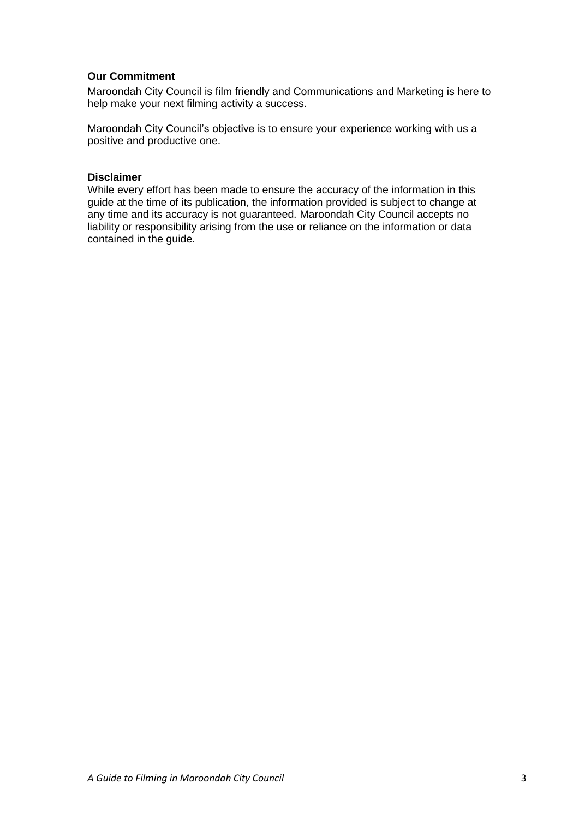### <span id="page-2-0"></span>**Our Commitment**

Maroondah City Council is film friendly and Communications and Marketing is here to help make your next filming activity a success.

Maroondah City Council's objective is to ensure your experience working with us a positive and productive one.

### **Disclaimer**

While every effort has been made to ensure the accuracy of the information in this guide at the time of its publication, the information provided is subject to change at any time and its accuracy is not guaranteed. Maroondah City Council accepts no liability or responsibility arising from the use or reliance on the information or data contained in the guide.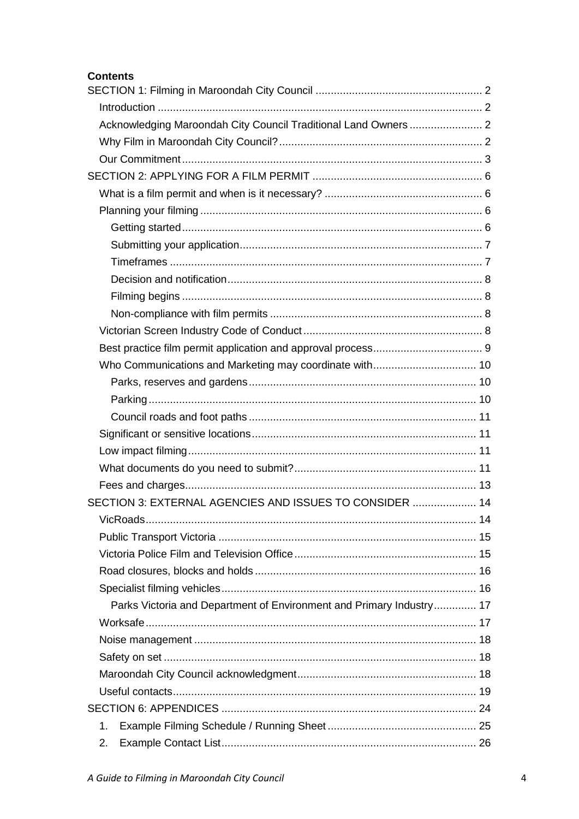| <b>Contents</b>                                                      |  |
|----------------------------------------------------------------------|--|
|                                                                      |  |
|                                                                      |  |
| Acknowledging Maroondah City Council Traditional Land Owners  2      |  |
|                                                                      |  |
|                                                                      |  |
|                                                                      |  |
|                                                                      |  |
|                                                                      |  |
|                                                                      |  |
|                                                                      |  |
|                                                                      |  |
|                                                                      |  |
|                                                                      |  |
|                                                                      |  |
|                                                                      |  |
|                                                                      |  |
| Who Communications and Marketing may coordinate with 10              |  |
|                                                                      |  |
|                                                                      |  |
|                                                                      |  |
|                                                                      |  |
|                                                                      |  |
|                                                                      |  |
|                                                                      |  |
| SECTION 3: EXTERNAL AGENCIES AND ISSUES TO CONSIDER  14              |  |
|                                                                      |  |
|                                                                      |  |
|                                                                      |  |
|                                                                      |  |
|                                                                      |  |
| Parks Victoria and Department of Environment and Primary Industry 17 |  |
|                                                                      |  |
|                                                                      |  |
|                                                                      |  |
|                                                                      |  |
|                                                                      |  |
|                                                                      |  |
| 1.                                                                   |  |
|                                                                      |  |
| 2.                                                                   |  |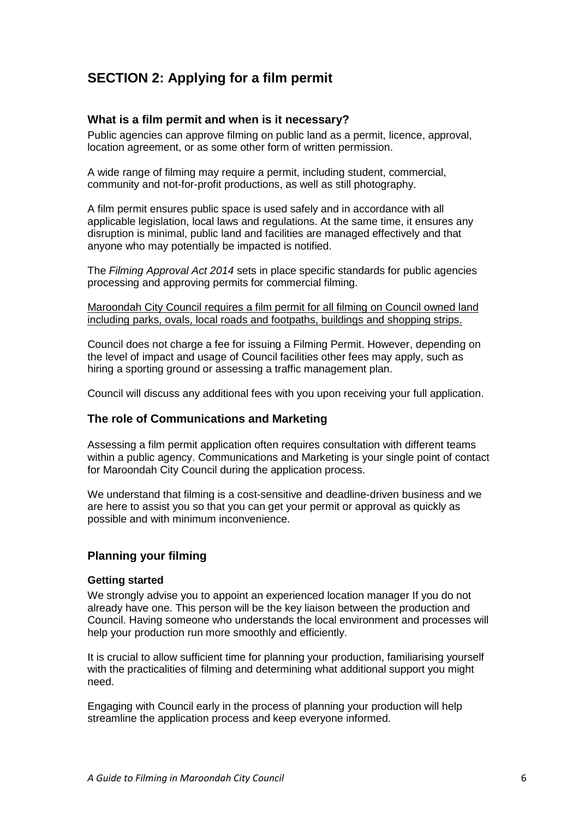# <span id="page-5-0"></span>**SECTION 2: Applying for a film permit**

# <span id="page-5-1"></span>**What is a film permit and when is it necessary?**

Public agencies can approve filming on public land as a permit, licence, approval, location agreement, or as some other form of written permission.

A wide range of filming may require a permit, including student, commercial, community and not-for-profit productions, as well as still photography.

A film permit ensures public space is used safely and in accordance with all applicable legislation, local laws and regulations. At the same time, it ensures any disruption is minimal, public land and facilities are managed effectively and that anyone who may potentially be impacted is notified.

The *Filming Approval Act 2014* sets in place specific standards for public agencies processing and approving permits for commercial filming.

Maroondah City Council requires a film permit for all filming on Council owned land including parks, ovals, local roads and footpaths, buildings and shopping strips.

Council does not charge a fee for issuing a Filming Permit. However, depending on the level of impact and usage of Council facilities other fees may apply, such as hiring a sporting ground or assessing a traffic management plan.

Council will discuss any additional fees with you upon receiving your full application.

### **The role of Communications and Marketing**

Assessing a film permit application often requires consultation with different teams within a public agency. Communications and Marketing is your single point of contact for Maroondah City Council during the application process.

We understand that filming is a cost-sensitive and deadline-driven business and we are here to assist you so that you can get your permit or approval as quickly as possible and with minimum inconvenience.

### <span id="page-5-2"></span>**Planning your filming**

### <span id="page-5-3"></span>**Getting started**

We strongly advise you to appoint an experienced location manager If you do not already have one. This person will be the key liaison between the production and Council. Having someone who understands the local environment and processes will help your production run more smoothly and efficiently.

It is crucial to allow sufficient time for planning your production, familiarising yourself with the practicalities of filming and determining what additional support you might need.

Engaging with Council early in the process of planning your production will help streamline the application process and keep everyone informed.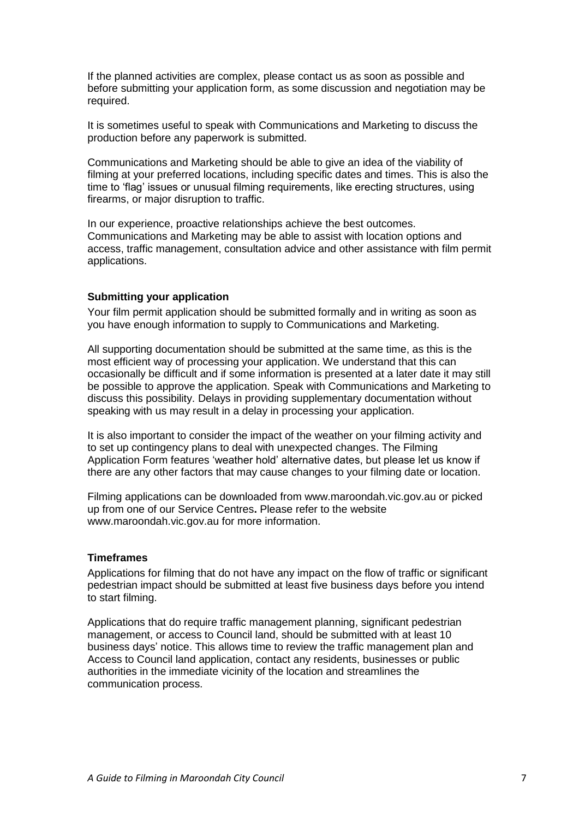If the planned activities are complex, please contact us as soon as possible and before submitting your application form, as some discussion and negotiation may be required.

It is sometimes useful to speak with Communications and Marketing to discuss the production before any paperwork is submitted.

Communications and Marketing should be able to give an idea of the viability of filming at your preferred locations, including specific dates and times. This is also the time to 'flag' issues or unusual filming requirements, like erecting structures, using firearms, or major disruption to traffic.

In our experience, proactive relationships achieve the best outcomes. Communications and Marketing may be able to assist with location options and access, traffic management, consultation advice and other assistance with film permit applications.

### <span id="page-6-0"></span>**Submitting your application**

Your film permit application should be submitted formally and in writing as soon as you have enough information to supply to Communications and Marketing.

All supporting documentation should be submitted at the same time, as this is the most efficient way of processing your application. We understand that this can occasionally be difficult and if some information is presented at a later date it may still be possible to approve the application. Speak with Communications and Marketing to discuss this possibility. Delays in providing supplementary documentation without speaking with us may result in a delay in processing your application.

It is also important to consider the impact of the weather on your filming activity and to set up contingency plans to deal with unexpected changes. The Filming Application Form features 'weather hold' alternative dates, but please let us know if there are any other factors that may cause changes to your filming date or location.

Filming applications can be downloaded from www.maroondah.vic.gov.au or picked up from one of our Service Centres**.** Please refer to the website www.maroondah.vic.gov.au for more information.

### <span id="page-6-1"></span>**Timeframes**

Applications for filming that do not have any impact on the flow of traffic or significant pedestrian impact should be submitted at least five business days before you intend to start filming.

Applications that do require traffic management planning, significant pedestrian management, or access to Council land, should be submitted with at least 10 business days' notice. This allows time to review the traffic management plan and Access to Council land application, contact any residents, businesses or public authorities in the immediate vicinity of the location and streamlines the communication process.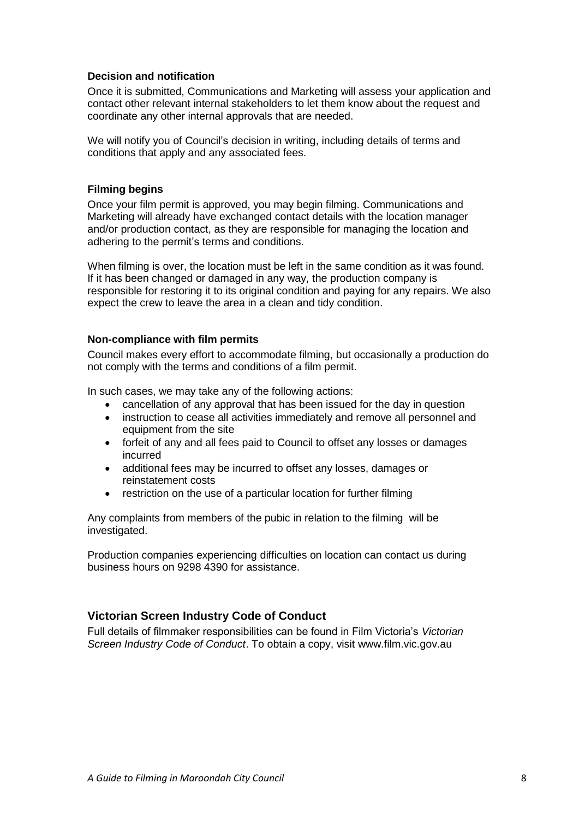### <span id="page-7-0"></span>**Decision and notification**

Once it is submitted, Communications and Marketing will assess your application and contact other relevant internal stakeholders to let them know about the request and coordinate any other internal approvals that are needed.

We will notify you of Council's decision in writing, including details of terms and conditions that apply and any associated fees.

### <span id="page-7-1"></span>**Filming begins**

Once your film permit is approved, you may begin filming. Communications and Marketing will already have exchanged contact details with the location manager and/or production contact, as they are responsible for managing the location and adhering to the permit's terms and conditions.

When filming is over, the location must be left in the same condition as it was found. If it has been changed or damaged in any way, the production company is responsible for restoring it to its original condition and paying for any repairs. We also expect the crew to leave the area in a clean and tidy condition.

### <span id="page-7-2"></span>**Non-compliance with film permits**

Council makes every effort to accommodate filming, but occasionally a production do not comply with the terms and conditions of a film permit.

In such cases, we may take any of the following actions:

- cancellation of any approval that has been issued for the day in question
- instruction to cease all activities immediately and remove all personnel and equipment from the site
- forfeit of any and all fees paid to Council to offset any losses or damages incurred
- additional fees may be incurred to offset any losses, damages or reinstatement costs
- restriction on the use of a particular location for further filming

Any complaints from members of the pubic in relation to the filming will be investigated.

Production companies experiencing difficulties on location can contact us during business hours on 9298 4390 for assistance.

### <span id="page-7-3"></span>**Victorian Screen Industry Code of Conduct**

Full details of filmmaker responsibilities can be found in Film Victoria's *Victorian Screen Industry Code of Conduct*. To obtain a copy, visit www.film.vic.gov.au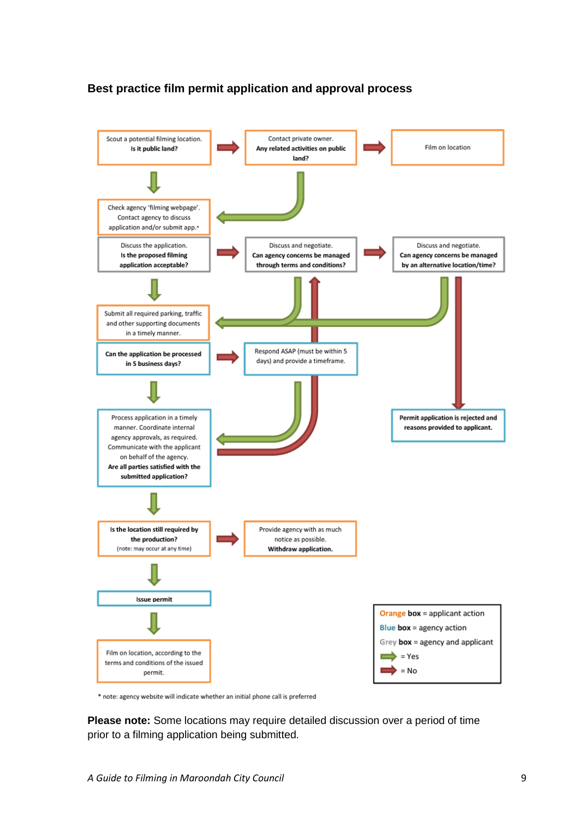# <span id="page-8-0"></span>**Best practice film permit application and approval process**



\* note: agency website will indicate whether an initial phone call is preferred

**Please note:** Some locations may require detailed discussion over a period of time prior to a filming application being submitted.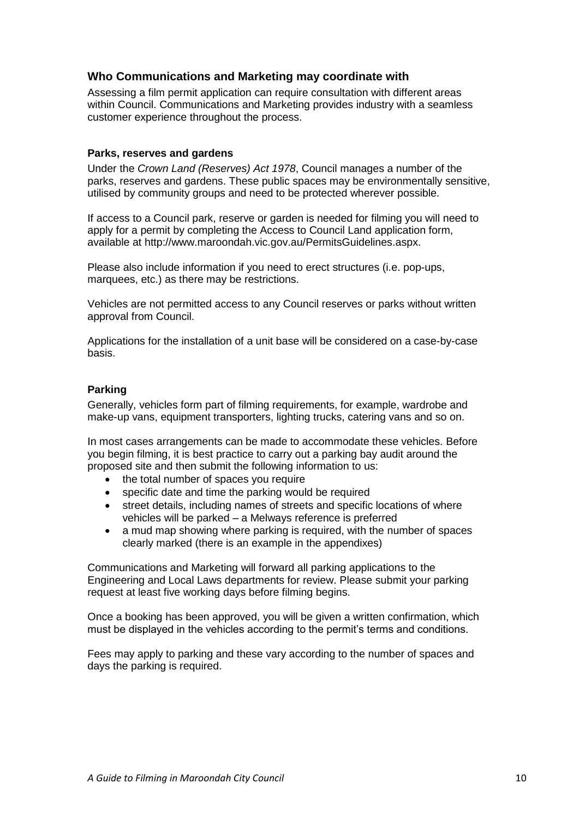# <span id="page-9-0"></span>**Who Communications and Marketing may coordinate with**

Assessing a film permit application can require consultation with different areas within Council. Communications and Marketing provides industry with a seamless customer experience throughout the process.

### <span id="page-9-1"></span>**Parks, reserves and gardens**

Under the *Crown Land (Reserves) Act 1978*, Council manages a number of the parks, reserves and gardens. These public spaces may be environmentally sensitive, utilised by community groups and need to be protected wherever possible.

If access to a Council park, reserve or garden is needed for filming you will need to apply for a permit by completing the Access to Council Land application form, available at http://www.maroondah.vic.gov.au/PermitsGuidelines.aspx.

Please also include information if you need to erect structures (i.e. pop-ups, marquees, etc.) as there may be restrictions.

Vehicles are not permitted access to any Council reserves or parks without written approval from Council.

Applications for the installation of a unit base will be considered on a case-by-case basis.

### <span id="page-9-2"></span>**Parking**

Generally, vehicles form part of filming requirements, for example, wardrobe and make-up vans, equipment transporters, lighting trucks, catering vans and so on.

In most cases arrangements can be made to accommodate these vehicles. Before you begin filming, it is best practice to carry out a parking bay audit around the proposed site and then submit the following information to us:

- the total number of spaces you require
- specific date and time the parking would be required
- street details, including names of streets and specific locations of where vehicles will be parked – a Melways reference is preferred
- a mud map showing where parking is required, with the number of spaces clearly marked (there is an example in the appendixes)

Communications and Marketing will forward all parking applications to the Engineering and Local Laws departments for review. Please submit your parking request at least five working days before filming begins.

Once a booking has been approved, you will be given a written confirmation, which must be displayed in the vehicles according to the permit's terms and conditions.

Fees may apply to parking and these vary according to the number of spaces and days the parking is required.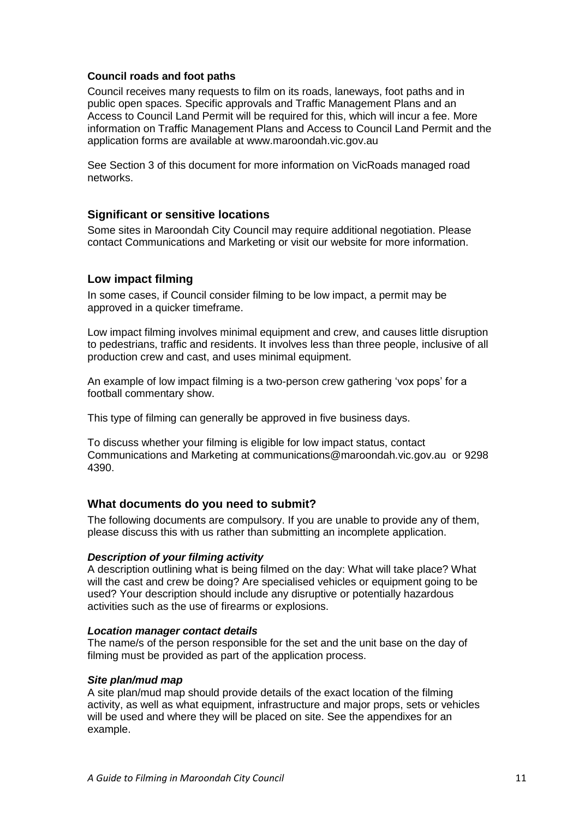### <span id="page-10-0"></span>**Council roads and foot paths**

Council receives many requests to film on its roads, laneways, foot paths and in public open spaces. Specific approvals and Traffic Management Plans and an Access to Council Land Permit will be required for this, which will incur a fee. More information on Traffic Management Plans and Access to Council Land Permit and the application forms are available at www.maroondah.vic.gov.au

See Section 3 of this document for more information on VicRoads managed road networks.

## <span id="page-10-1"></span>**Significant or sensitive locations**

Some sites in Maroondah City Council may require additional negotiation. Please contact Communications and Marketing or visit our website for more information.

## <span id="page-10-2"></span>**Low impact filming**

In some cases, if Council consider filming to be low impact, a permit may be approved in a quicker timeframe.

Low impact filming involves minimal equipment and crew, and causes little disruption to pedestrians, traffic and residents. It involves less than three people, inclusive of all production crew and cast, and uses minimal equipment.

An example of low impact filming is a two-person crew gathering 'vox pops' for a football commentary show.

This type of filming can generally be approved in five business days.

To discuss whether your filming is eligible for low impact status, contact Communications and Marketing at communications@maroondah.vic.gov.au or 9298 4390.

# <span id="page-10-3"></span>**What documents do you need to submit?**

The following documents are compulsory. If you are unable to provide any of them, please discuss this with us rather than submitting an incomplete application.

### *Description of your filming activity*

A description outlining what is being filmed on the day: What will take place? What will the cast and crew be doing? Are specialised vehicles or equipment going to be used? Your description should include any disruptive or potentially hazardous activities such as the use of firearms or explosions.

### *Location manager contact details*

The name/s of the person responsible for the set and the unit base on the day of filming must be provided as part of the application process.

### *Site plan/mud map*

A site plan/mud map should provide details of the exact location of the filming activity, as well as what equipment, infrastructure and major props, sets or vehicles will be used and where they will be placed on site. See the appendixes for an example.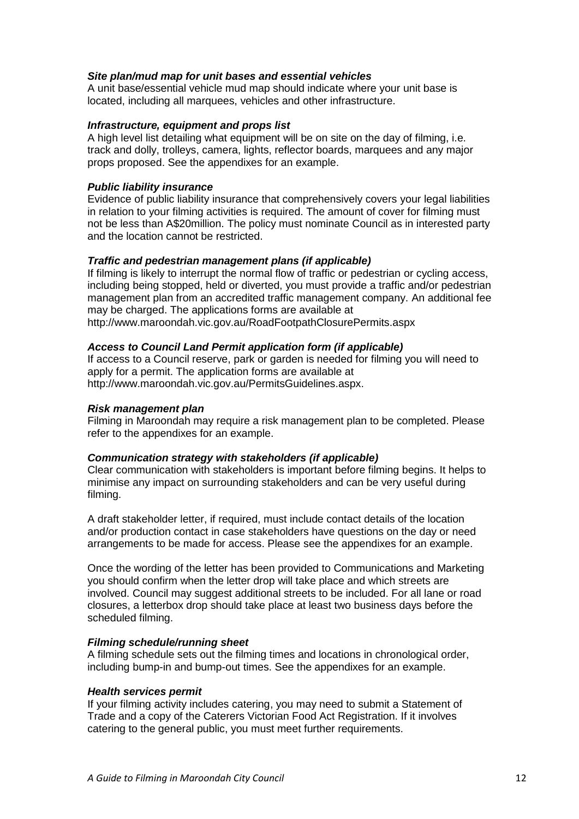### *Site plan/mud map for unit bases and essential vehicles*

A unit base/essential vehicle mud map should indicate where your unit base is located, including all marquees, vehicles and other infrastructure.

### *Infrastructure, equipment and props list*

A high level list detailing what equipment will be on site on the day of filming, i.e. track and dolly, trolleys, camera, lights, reflector boards, marquees and any major props proposed. See the appendixes for an example.

### *Public liability insurance*

Evidence of public liability insurance that comprehensively covers your legal liabilities in relation to your filming activities is required. The amount of cover for filming must not be less than A\$20million. The policy must nominate Council as in interested party and the location cannot be restricted.

### *Traffic and pedestrian management plans (if applicable)*

If filming is likely to interrupt the normal flow of traffic or pedestrian or cycling access, including being stopped, held or diverted, you must provide a traffic and/or pedestrian management plan from an accredited traffic management company. An additional fee may be charged. The applications forms are available at http://www.maroondah.vic.gov.au/RoadFootpathClosurePermits.aspx

### *Access to Council Land Permit application form (if applicable)*

If access to a Council reserve, park or garden is needed for filming you will need to apply for a permit. The application forms are available at http://www.maroondah.vic.gov.au/PermitsGuidelines.aspx.

### *Risk management plan*

Filming in Maroondah may require a risk management plan to be completed. Please refer to the appendixes for an example.

#### *Communication strategy with stakeholders (if applicable)*

Clear communication with stakeholders is important before filming begins. It helps to minimise any impact on surrounding stakeholders and can be very useful during filming.

A draft stakeholder letter, if required, must include contact details of the location and/or production contact in case stakeholders have questions on the day or need arrangements to be made for access. Please see the appendixes for an example.

Once the wording of the letter has been provided to Communications and Marketing you should confirm when the letter drop will take place and which streets are involved. Council may suggest additional streets to be included. For all lane or road closures, a letterbox drop should take place at least two business days before the scheduled filming.

### *Filming schedule/running sheet*

A filming schedule sets out the filming times and locations in chronological order, including bump-in and bump-out times. See the appendixes for an example.

### *Health services permit*

If your filming activity includes catering, you may need to submit a Statement of Trade and a copy of the Caterers Victorian Food Act Registration. If it involves catering to the general public, you must meet further requirements.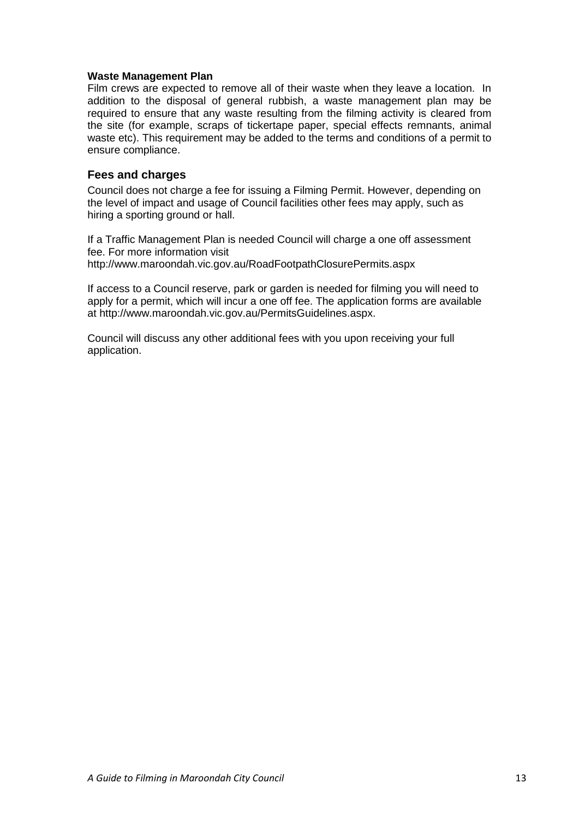### **Waste Management Plan**

Film crews are expected to remove all of their waste when they leave a location. In addition to the disposal of general rubbish, a waste management plan may be required to ensure that any waste resulting from the filming activity is cleared from the site (for example, scraps of tickertape paper, special effects remnants, animal waste etc). This requirement may be added to the terms and conditions of a permit to ensure compliance.

### <span id="page-12-0"></span>**Fees and charges**

Council does not charge a fee for issuing a Filming Permit. However, depending on the level of impact and usage of Council facilities other fees may apply, such as hiring a sporting ground or hall.

If a Traffic Management Plan is needed Council will charge a one off assessment fee. For more information visit http://www.maroondah.vic.gov.au/RoadFootpathClosurePermits.aspx

If access to a Council reserve, park or garden is needed for filming you will need to apply for a permit, which will incur a one off fee. The application forms are available at http://www.maroondah.vic.gov.au/PermitsGuidelines.aspx.

Council will discuss any other additional fees with you upon receiving your full application.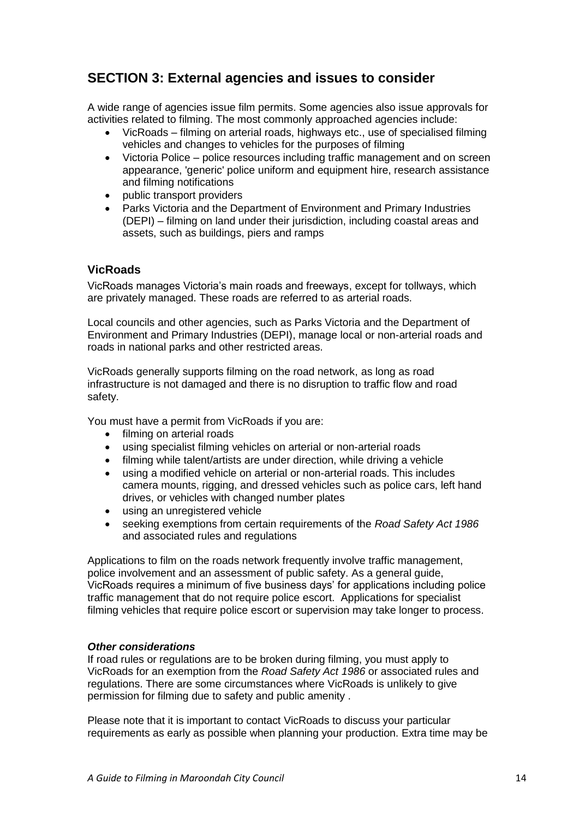# <span id="page-13-0"></span>**SECTION 3: External agencies and issues to consider**

A wide range of agencies issue film permits. Some agencies also issue approvals for activities related to filming. The most commonly approached agencies include:

- VicRoads filming on arterial roads, highways etc., use of specialised filming vehicles and changes to vehicles for the purposes of filming
- Victoria Police police resources including traffic management and on screen appearance, 'generic' police uniform and equipment hire, research assistance and filming notifications
- public transport providers
- Parks Victoria and the Department of Environment and Primary Industries (DEPI) – filming on land under their jurisdiction, including coastal areas and assets, such as buildings, piers and ramps

# <span id="page-13-1"></span>**VicRoads**

VicRoads manages Victoria's main roads and freeways, except for tollways, which are privately managed. These roads are referred to as arterial roads.

Local councils and other agencies, such as Parks Victoria and the Department of Environment and Primary Industries (DEPI), manage local or non-arterial roads and roads in national parks and other restricted areas.

VicRoads generally supports filming on the road network, as long as road infrastructure is not damaged and there is no disruption to traffic flow and road safety.

You must have a permit from VicRoads if you are:

- filming on arterial roads
- using specialist filming vehicles on arterial or non-arterial roads
- filming while talent/artists are under direction, while driving a vehicle
- using a modified vehicle on arterial or non-arterial roads. This includes camera mounts, rigging, and dressed vehicles such as police cars, left hand drives, or vehicles with changed number plates
- using an unregistered vehicle
- seeking exemptions from certain requirements of the *Road Safety Act 1986* and associated rules and regulations

Applications to film on the roads network frequently involve traffic management, police involvement and an assessment of public safety. As a general guide, VicRoads requires a minimum of five business days' for applications including police traffic management that do not require police escort. Applications for specialist filming vehicles that require police escort or supervision may take longer to process.

### *Other considerations*

If road rules or regulations are to be broken during filming, you must apply to VicRoads for an exemption from the *Road Safety Act 1986* or associated rules and regulations. There are some circumstances where VicRoads is unlikely to give permission for filming due to safety and public amenity .

Please note that it is important to contact VicRoads to discuss your particular requirements as early as possible when planning your production. Extra time may be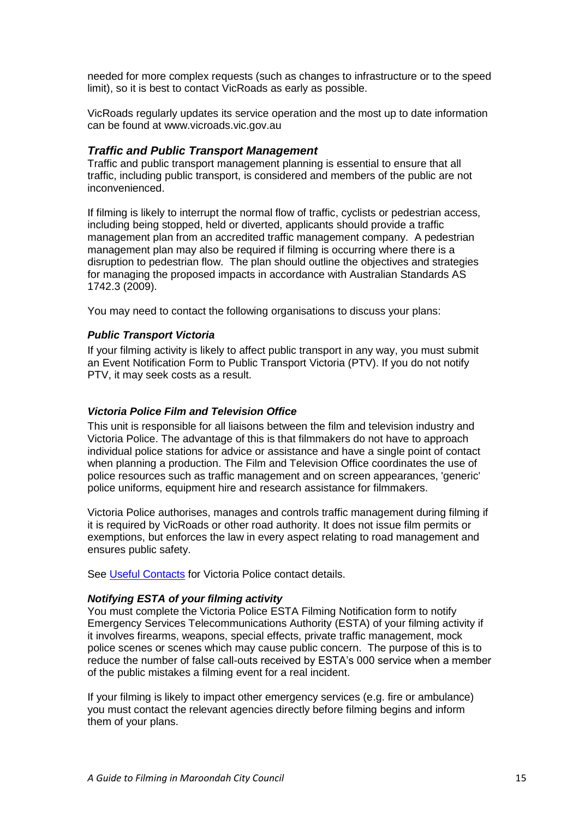needed for more complex requests (such as changes to infrastructure or to the speed limit), so it is best to contact VicRoads as early as possible.

VicRoads regularly updates its service operation and the most up to date information can be found at www.vicroads.vic.gov.au

### *Traffic and Public Transport Management*

Traffic and public transport management planning is essential to ensure that all traffic, including public transport, is considered and members of the public are not inconvenienced.

If filming is likely to interrupt the normal flow of traffic, cyclists or pedestrian access, including being stopped, held or diverted, applicants should provide a traffic management plan from an accredited traffic management company. A pedestrian management plan may also be required if filming is occurring where there is a disruption to pedestrian flow. The plan should outline the objectives and strategies for managing the proposed impacts in accordance with Australian Standards AS 1742.3 (2009).

<span id="page-14-0"></span>You may need to contact the following organisations to discuss your plans:

### *Public Transport Victoria*

If your filming activity is likely to affect public transport in any way, you must submit an Event Notification Form to Public Transport Victoria (PTV). If you do not notify PTV, it may seek costs as a result.

### <span id="page-14-1"></span>*Victoria Police Film and Television Office*

This unit is responsible for all liaisons between the film and television industry and Victoria Police. The advantage of this is that filmmakers do not have to approach individual police stations for advice or assistance and have a single point of contact when planning a production. The Film and Television Office coordinates the use of police resources such as traffic management and on screen appearances, 'generic' police uniforms, equipment hire and research assistance for filmmakers.

Victoria Police authorises, manages and controls traffic management during filming if it is required by VicRoads or other road authority. It does not issue film permits or exemptions, but enforces the law in every aspect relating to road management and ensures public safety.

See [Useful Contacts](#page-18-0) for Victoria Police contact details.

#### *Notifying ESTA of your filming activity*

You must complete the Victoria Police ESTA Filming Notification form to notify Emergency Services Telecommunications Authority (ESTA) of your filming activity if it involves firearms, weapons, special effects, private traffic management, mock police scenes or scenes which may cause public concern. The purpose of this is to reduce the number of false call-outs received by ESTA's 000 service when a member of the public mistakes a filming event for a real incident.

If your filming is likely to impact other emergency services (e.g. fire or ambulance) you must contact the relevant agencies directly before filming begins and inform them of your plans.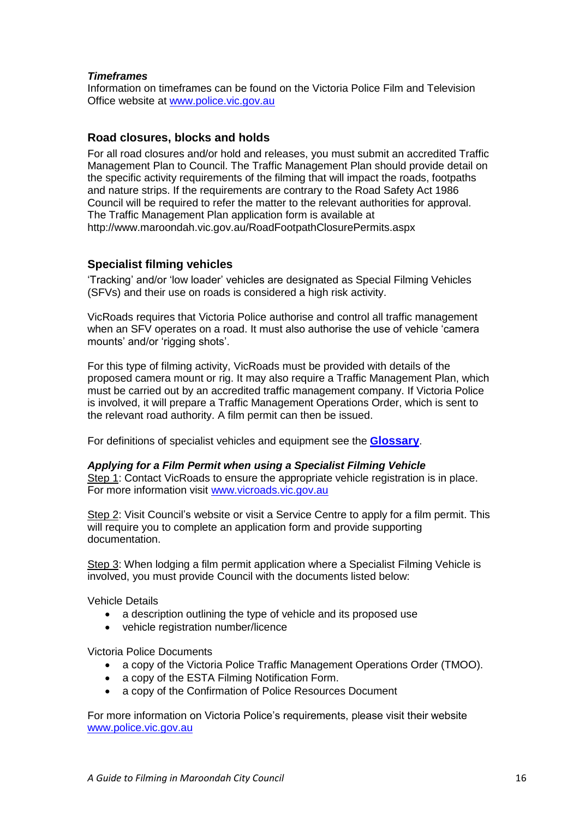### *Timeframes*

Information on timeframes can be found on the Victoria Police Film and Television Office website at [www.police.vic.gov.au](http://www.police.vic.gov.au/)

## <span id="page-15-0"></span>**Road closures, blocks and holds**

For all road closures and/or hold and releases, you must submit an accredited Traffic Management Plan to Council. The Traffic Management Plan should provide detail on the specific activity requirements of the filming that will impact the roads, footpaths and nature strips. If the requirements are contrary to the Road Safety Act 1986 Council will be required to refer the matter to the relevant authorities for approval. The Traffic Management Plan application form is available at http://www.maroondah.vic.gov.au/RoadFootpathClosurePermits.aspx

## <span id="page-15-1"></span>**Specialist filming vehicles**

'Tracking' and/or 'low loader' vehicles are designated as Special Filming Vehicles (SFVs) and their use on roads is considered a high risk activity.

VicRoads requires that Victoria Police authorise and control all traffic management when an SFV operates on a road. It must also authorise the use of vehicle 'camera mounts' and/or 'rigging shots'.

For this type of filming activity, VicRoads must be provided with details of the proposed camera mount or rig. It may also require a Traffic Management Plan, which must be carried out by an accredited traffic management company. If Victoria Police is involved, it will prepare a Traffic Management Operations Order, which is sent to the relevant road authority. A film permit can then be issued.

For definitions of specialist vehicles and equipment see the **G[lossary](#page-19-0)**.

### *Applying for a Film Permit when using a Specialist Filming Vehicle*

Step 1: Contact VicRoads to ensure the appropriate vehicle registration is in place. For more information visit [www.vicroads.vic.gov.au](http://www.vicroads.vic.gov.au/)

Step 2: Visit Council's website or visit a Service Centre to apply for a film permit. This will require you to complete an application form and provide supporting documentation.

Step 3: When lodging a film permit application where a Specialist Filming Vehicle is involved, you must provide Council with the documents listed below:

Vehicle Details

- a description outlining the type of vehicle and its proposed use
- vehicle registration number/licence

Victoria Police Documents

- a copy of the Victoria Police Traffic Management Operations Order (TMOO).
- a copy of the ESTA Filming Notification Form.
- a copy of the Confirmation of Police Resources Document

For more information on Victoria Police's requirements, please visit their website [www.police.vic.gov.au](http://www.police.vic.gov.au/)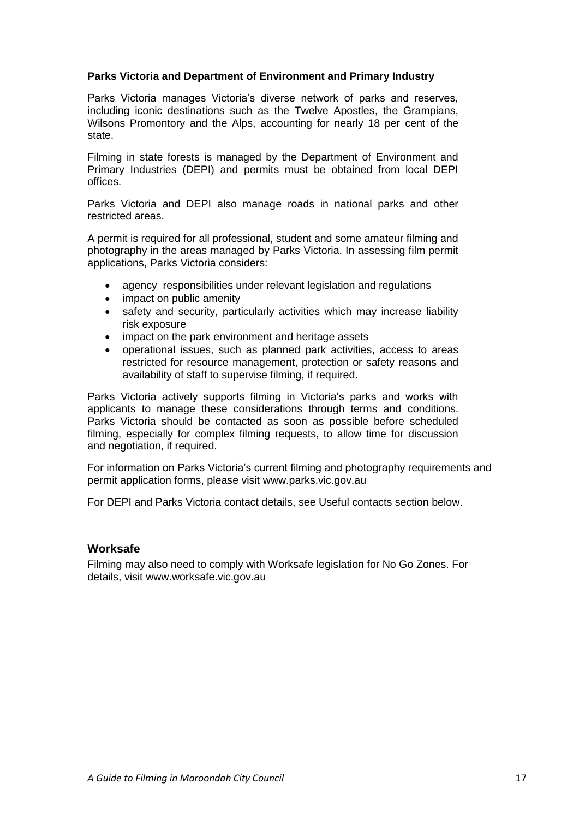### <span id="page-16-0"></span>**Parks Victoria and Department of Environment and Primary Industry**

Parks Victoria manages Victoria's diverse network of parks and reserves, including iconic destinations such as the Twelve Apostles, the Grampians, Wilsons Promontory and the Alps, accounting for nearly 18 per cent of the state.

Filming in state forests is managed by the Department of Environment and Primary Industries (DEPI) and permits must be obtained from local DEPI offices.

Parks Victoria and DEPI also manage roads in national parks and other restricted areas.

A permit is required for all professional, student and some amateur filming and photography in the areas managed by Parks Victoria. In assessing film permit applications, Parks Victoria considers:

- agency responsibilities under relevant legislation and regulations
- impact on public amenity
- safety and security, particularly activities which may increase liability risk exposure
- impact on the park environment and heritage assets
- operational issues, such as planned park activities, access to areas restricted for resource management, protection or safety reasons and availability of staff to supervise filming, if required.

Parks Victoria actively supports filming in Victoria's parks and works with applicants to manage these considerations through terms and conditions. Parks Victoria should be contacted as soon as possible before scheduled filming, especially for complex filming requests, to allow time for discussion and negotiation, if required.

For information on Parks Victoria's current filming and photography requirements and permit application forms, please visit www.parks.vic.gov.au

For DEPI and Parks Victoria contact details, see Useful contacts section below.

### <span id="page-16-1"></span>**Worksafe**

Filming may also need to comply with Worksafe legislation for No Go Zones. For details, visit www.worksafe.vic.gov.au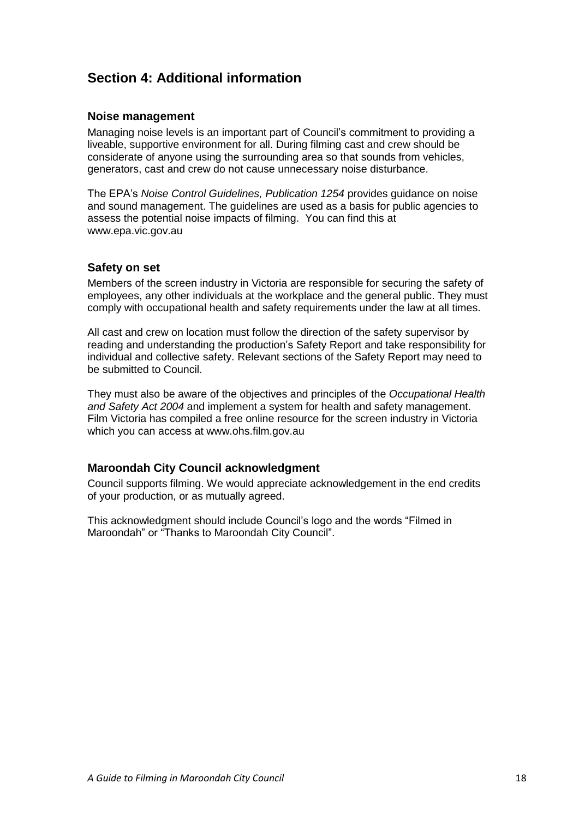# **Section 4: Additional information**

## <span id="page-17-0"></span>**Noise management**

Managing noise levels is an important part of Council's commitment to providing a liveable, supportive environment for all. During filming cast and crew should be considerate of anyone using the surrounding area so that sounds from vehicles, generators, cast and crew do not cause unnecessary noise disturbance.

The EPA's *Noise Control Guidelines, Publication 1254* provides guidance on noise and sound management. The guidelines are used as a basis for public agencies to assess the potential noise impacts of filming. You can find this at www.epa.vic.gov.au

# <span id="page-17-1"></span>**Safety on set**

Members of the screen industry in Victoria are responsible for securing the safety of employees, any other individuals at the workplace and the general public. They must comply with occupational health and safety requirements under the law at all times.

All cast and crew on location must follow the direction of the safety supervisor by reading and understanding the production's Safety Report and take responsibility for individual and collective safety. Relevant sections of the Safety Report may need to be submitted to Council.

They must also be aware of the objectives and principles of the *Occupational Health and Safety Act 2004* and implement a system for health and safety management. Film Victoria has compiled a free online resource for the screen industry in Victoria which you can access at www.ohs.film.gov.au

# <span id="page-17-2"></span>**Maroondah City Council acknowledgment**

Council supports filming. We would appreciate acknowledgement in the end credits of your production, or as mutually agreed.

This acknowledgment should include Council's logo and the words "Filmed in Maroondah" or "Thanks to Maroondah City Council".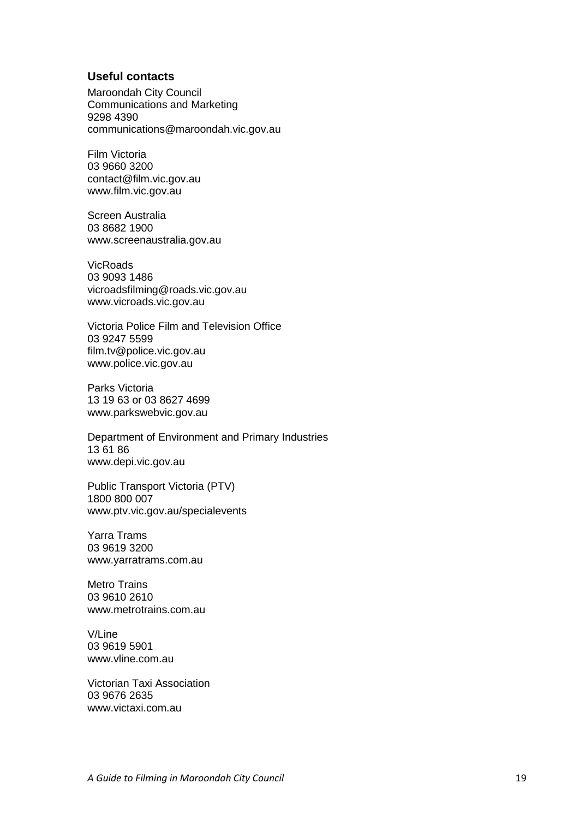# <span id="page-18-0"></span>**Useful contacts**

Maroondah City Council Communications and Marketing 9298 4390 communications@maroondah.vic.gov.au

Film Victoria 03 9660 3200 contact@film.vic.gov.au www.film.vic.gov.au

Screen Australia 03 8682 1900 www.screenaustralia.gov.au

VicRoads 03 9093 1486 vicroadsfilming@roads.vic.gov.au www.vicroads.vic.gov.au

Victoria Police Film and Television Office 03 9247 5599 film.tv@police.vic.gov.au www.police.vic.gov.au

Parks Victoria 13 19 63 or 03 8627 4699 www.parkswebvic.gov.au

Department of Environment and Primary Industries 13 61 86 www.depi.vic.gov.au

Public Transport Victoria (PTV) 1800 800 007 www.ptv.vic.gov.au/specialevents

Yarra Trams 03 9619 3200 www.yarratrams.com.au

Metro Trains 03 9610 2610 www.metrotrains.com.au

V/Line 03 9619 5901 www.vline.com.au

Victorian Taxi Association 03 9676 2635 www.victaxi.com.au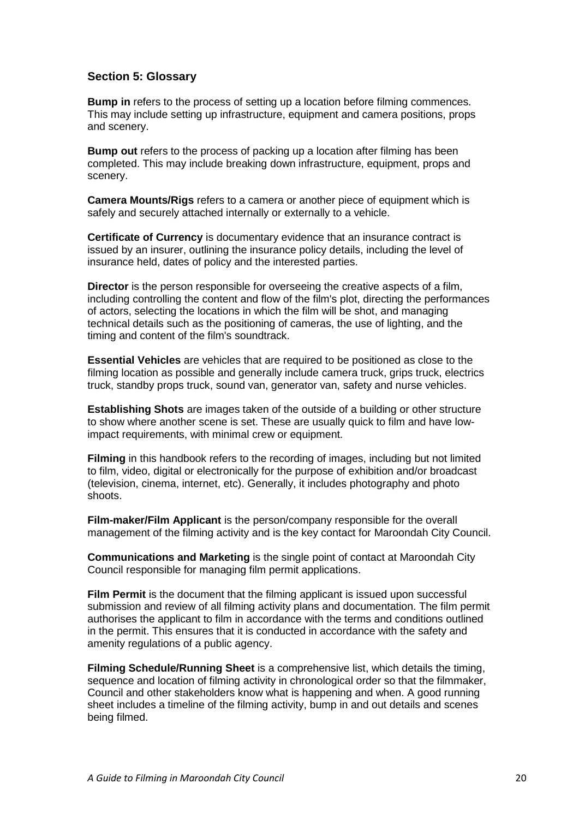# <span id="page-19-0"></span>**Section 5: Glossary**

**Bump in** refers to the process of setting up a location before filming commences. This may include setting up infrastructure, equipment and camera positions, props and scenery.

**Bump out** refers to the process of packing up a location after filming has been completed. This may include breaking down infrastructure, equipment, props and scenery.

**Camera Mounts/Rigs** refers to a camera or another piece of equipment which is safely and securely attached internally or externally to a vehicle.

**Certificate of Currency** is documentary evidence that an insurance contract is issued by an insurer, outlining the insurance policy details, including the level of insurance held, dates of policy and the interested parties.

**Director** is the person responsible for overseeing the creative aspects of a film, including controlling the content and flow of the film's plot, directing the performances of actors, selecting the locations in which the film will be shot, and managing technical details such as the positioning of cameras, the use of lighting, and the timing and content of the film's soundtrack.

**Essential Vehicles** are vehicles that are required to be positioned as close to the filming location as possible and generally include camera truck, grips truck, electrics truck, standby props truck, sound van, generator van, safety and nurse vehicles.

**Establishing Shots** are images taken of the outside of a building or other structure to show where another scene is set. These are usually quick to film and have lowimpact requirements, with minimal crew or equipment.

**Filming** in this handbook refers to the recording of images, including but not limited to film, video, digital or electronically for the purpose of exhibition and/or broadcast (television, cinema, internet, etc). Generally, it includes photography and photo shoots.

**Film-maker/Film Applicant** is the person/company responsible for the overall management of the filming activity and is the key contact for Maroondah City Council.

**Communications and Marketing** is the single point of contact at Maroondah City Council responsible for managing film permit applications.

**Film Permit** is the document that the filming applicant is issued upon successful submission and review of all filming activity plans and documentation. The film permit authorises the applicant to film in accordance with the terms and conditions outlined in the permit. This ensures that it is conducted in accordance with the safety and amenity regulations of a public agency.

**Filming Schedule/Running Sheet** is a comprehensive list, which details the timing, sequence and location of filming activity in chronological order so that the filmmaker, Council and other stakeholders know what is happening and when. A good running sheet includes a timeline of the filming activity, bump in and out details and scenes being filmed.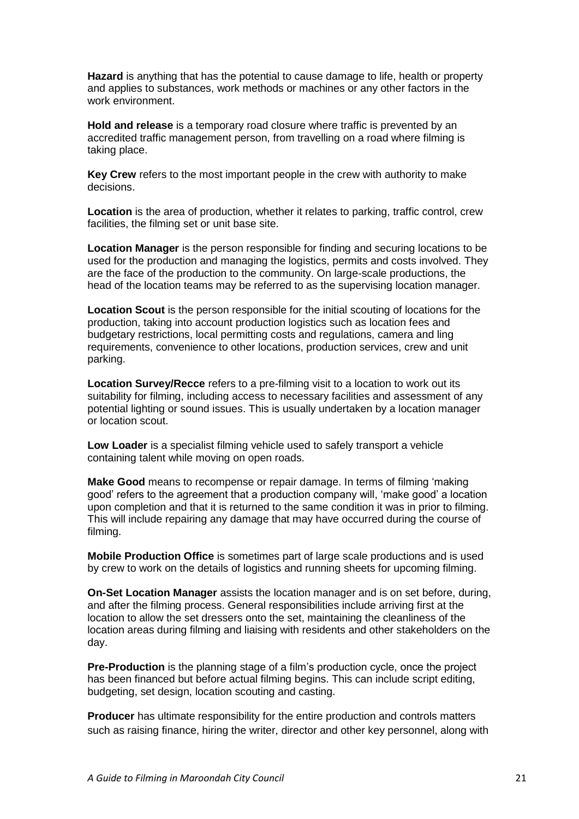**Hazard** is anything that has the potential to cause damage to life, health or property and applies to substances, work methods or machines or any other factors in the work environment.

**Hold and release** is a temporary road closure where traffic is prevented by an accredited traffic management person, from travelling on a road where filming is taking place.

**Key Crew** refers to the most important people in the crew with authority to make decisions.

**Location** is the area of production, whether it relates to parking, traffic control, crew facilities, the filming set or unit base site.

**Location Manager** is the person responsible for finding and securing locations to be used for the production and managing the logistics, permits and costs involved. They are the face of the production to the community. On large-scale productions, the head of the location teams may be referred to as the supervising location manager.

**Location Scout** is the person responsible for the initial scouting of locations for the production, taking into account production logistics such as location fees and budgetary restrictions, local permitting costs and regulations, camera and ling requirements, convenience to other locations, production services, crew and unit parking.

**Location Survey/Recce** refers to a pre-filming visit to a location to work out its suitability for filming, including access to necessary facilities and assessment of any potential lighting or sound issues. This is usually undertaken by a location manager or location scout.

**Low Loader** is a specialist filming vehicle used to safely transport a vehicle containing talent while moving on open roads.

**Make Good** means to recompense or repair damage. In terms of filming 'making good' refers to the agreement that a production company will, 'make good' a location upon completion and that it is returned to the same condition it was in prior to filming. This will include repairing any damage that may have occurred during the course of filming.

**Mobile Production Office** is sometimes part of large scale productions and is used by crew to work on the details of logistics and running sheets for upcoming filming.

**On-Set Location Manager** assists the location manager and is on set before, during, and after the filming process. General responsibilities include arriving first at the location to allow the set dressers onto the set, maintaining the cleanliness of the location areas during filming and liaising with residents and other stakeholders on the day.

**Pre-Production** is the planning stage of a film's production cycle, once the project has been financed but before actual filming begins. This can include script editing, budgeting, set design, location scouting and casting.

**Producer** has ultimate responsibility for the entire production and controls matters such as raising finance, hiring the writer, director and other key personnel, along with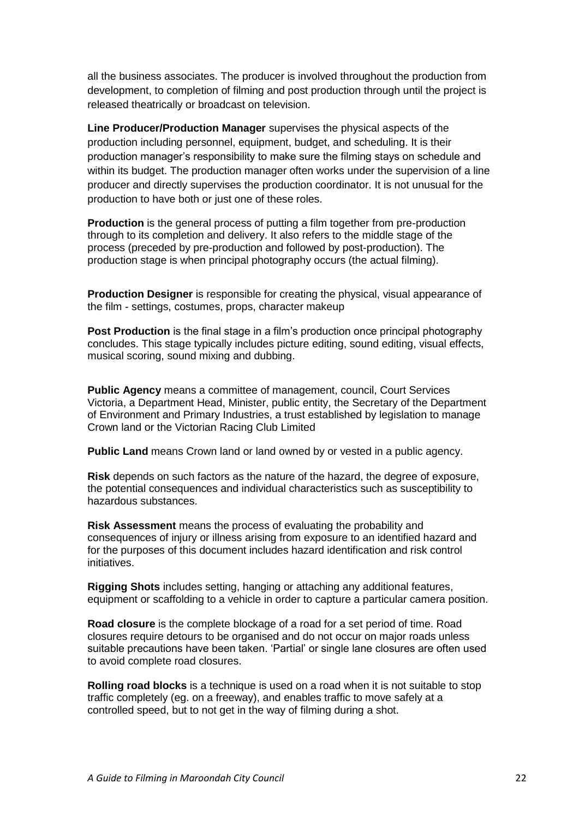all the business associates. The producer is involved throughout the production from development, to completion of filming and post production through until the project is released theatrically or broadcast on television.

**Line Producer/Production Manager** supervises the physical aspects of the production including personnel, equipment, budget, and scheduling. It is their production manager's responsibility to make sure the filming stays on schedule and within its budget. The production manager often works under the supervision of a line producer and directly supervises the production coordinator. It is not unusual for the production to have both or just one of these roles.

**Production** is the general process of putting a film together from pre-production through to its completion and delivery. It also refers to the middle stage of the process (preceded by pre-production and followed by post-production). The production stage is when principal photography occurs (the actual filming).

**Production Designer** is responsible for creating the physical, visual appearance of the film - settings, costumes, props, character makeup

**Post Production** is the final stage in a film's production once principal photography concludes. This stage typically includes picture editing, sound editing, visual effects, musical scoring, sound mixing and dubbing.

**Public Agency** means a committee of management, council, Court Services Victoria, a Department Head, Minister, public entity, the Secretary of the Department of Environment and Primary Industries, a trust established by legislation to manage Crown land or the Victorian Racing Club Limited

**Public Land** means Crown land or land owned by or vested in a public agency.

**Risk** depends on such factors as the nature of the hazard, the degree of exposure, the potential consequences and individual characteristics such as susceptibility to hazardous substances.

**Risk Assessment** means the process of evaluating the probability and consequences of injury or illness arising from exposure to an identified hazard and for the purposes of this document includes hazard identification and risk control initiatives.

**Rigging Shots** includes setting, hanging or attaching any additional features, equipment or scaffolding to a vehicle in order to capture a particular camera position.

**Road closure** is the complete blockage of a road for a set period of time. Road closures require detours to be organised and do not occur on major roads unless suitable precautions have been taken. 'Partial' or single lane closures are often used to avoid complete road closures.

**Rolling road blocks** is a technique is used on a road when it is not suitable to stop traffic completely (eg. on a freeway), and enables traffic to move safely at a controlled speed, but to not get in the way of filming during a shot.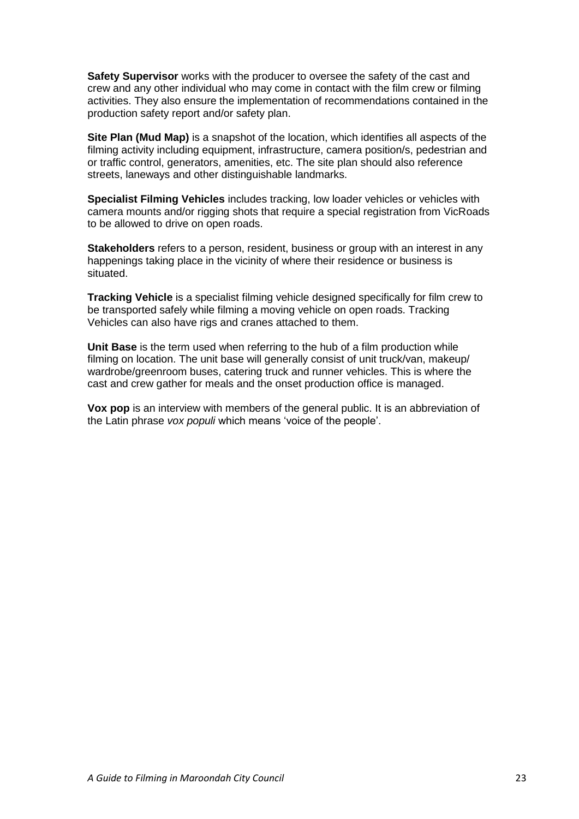**Safety Supervisor** works with the producer to oversee the safety of the cast and crew and any other individual who may come in contact with the film crew or filming activities. They also ensure the implementation of recommendations contained in the production safety report and/or safety plan.

**Site Plan (Mud Map)** is a snapshot of the location, which identifies all aspects of the filming activity including equipment, infrastructure, camera position/s, pedestrian and or traffic control, generators, amenities, etc. The site plan should also reference streets, laneways and other distinguishable landmarks.

**Specialist Filming Vehicles** includes tracking, low loader vehicles or vehicles with camera mounts and/or rigging shots that require a special registration from VicRoads to be allowed to drive on open roads.

**Stakeholders** refers to a person, resident, business or group with an interest in any happenings taking place in the vicinity of where their residence or business is situated.

**Tracking Vehicle** is a specialist filming vehicle designed specifically for film crew to be transported safely while filming a moving vehicle on open roads. Tracking Vehicles can also have rigs and cranes attached to them.

**Unit Base** is the term used when referring to the hub of a film production while filming on location. The unit base will generally consist of unit truck/van, makeup/ wardrobe/greenroom buses, catering truck and runner vehicles. This is where the cast and crew gather for meals and the onset production office is managed.

**Vox pop** is an interview with members of the general public. It is an abbreviation of the Latin phrase *vox populi* which means 'voice of the people'.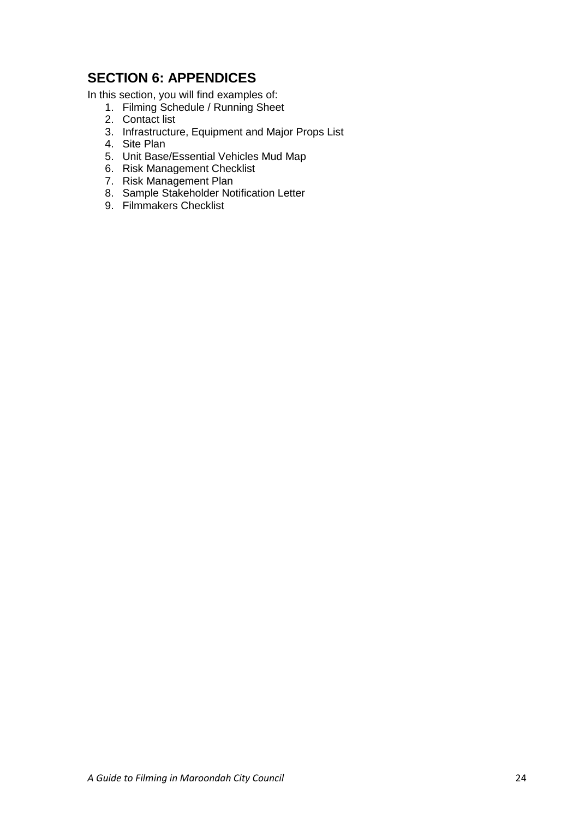# <span id="page-23-0"></span>**SECTION 6: APPENDICES**

In this section, you will find examples of:

- 1. Filming Schedule / Running Sheet
- 2. Contact list
- 3. Infrastructure, Equipment and Major Props List
- 4. Site Plan
- 5. Unit Base/Essential Vehicles Mud Map
- 6. Risk Management Checklist
- 7. Risk Management Plan
- 8. Sample Stakeholder Notification Letter
- 9. Filmmakers Checklist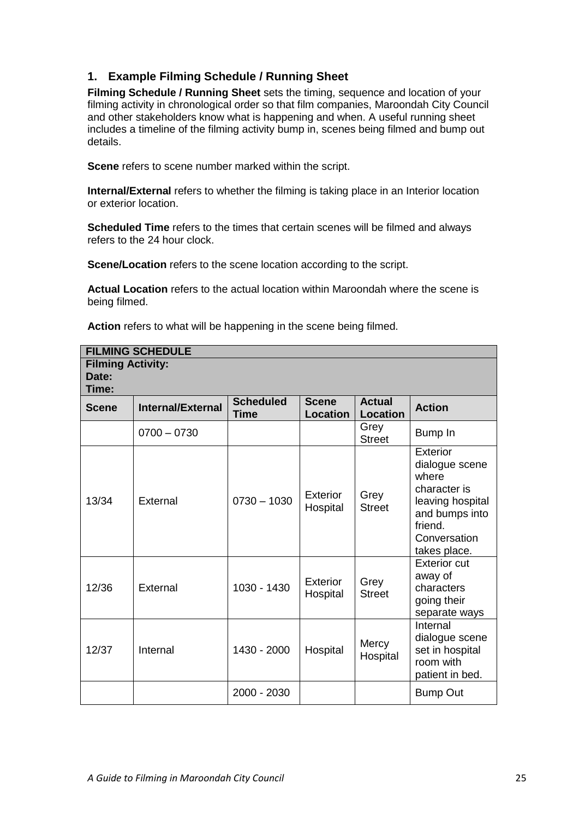# <span id="page-24-0"></span>**1. Example Filming Schedule / Running Sheet**

**Filming Schedule / Running Sheet** sets the timing, sequence and location of your filming activity in chronological order so that film companies, Maroondah City Council and other stakeholders know what is happening and when. A useful running sheet includes a timeline of the filming activity bump in, scenes being filmed and bump out details.

**Scene** refers to scene number marked within the script.

**Internal/External** refers to whether the filming is taking place in an Interior location or exterior location.

**Scheduled Time** refers to the times that certain scenes will be filmed and always refers to the 24 hour clock.

**Scene/Location** refers to the scene location according to the script.

**Actual Location** refers to the actual location within Maroondah where the scene is being filmed.

|                                            | <b>FILMING SCHEDULE</b>  |                                 |                                 |                                  |                                                                                                                                      |  |  |
|--------------------------------------------|--------------------------|---------------------------------|---------------------------------|----------------------------------|--------------------------------------------------------------------------------------------------------------------------------------|--|--|
| <b>Filming Activity:</b><br>Date:<br>Time: |                          |                                 |                                 |                                  |                                                                                                                                      |  |  |
| <b>Scene</b>                               | <b>Internal/External</b> | <b>Scheduled</b><br><b>Time</b> | <b>Scene</b><br><b>Location</b> | <b>Actual</b><br><b>Location</b> | <b>Action</b>                                                                                                                        |  |  |
|                                            | $0700 - 0730$            |                                 |                                 | Grey<br><b>Street</b>            | Bump In                                                                                                                              |  |  |
| 13/34                                      | External                 | $0730 - 1030$                   | Exterior<br>Hospital            | Grey<br><b>Street</b>            | Exterior<br>dialogue scene<br>where<br>character is<br>leaving hospital<br>and bumps into<br>friend.<br>Conversation<br>takes place. |  |  |
| 12/36                                      | External                 | 1030 - 1430                     | <b>Exterior</b><br>Hospital     | Grey<br><b>Street</b>            | <b>Exterior cut</b><br>away of<br>characters<br>going their<br>separate ways                                                         |  |  |
| 12/37                                      | Internal                 | 1430 - 2000                     | Hospital                        | Mercy<br>Hospital                | Internal<br>dialogue scene<br>set in hospital<br>room with<br>patient in bed.                                                        |  |  |
|                                            |                          | 2000 - 2030                     |                                 |                                  | <b>Bump Out</b>                                                                                                                      |  |  |

**Action** refers to what will be happening in the scene being filmed.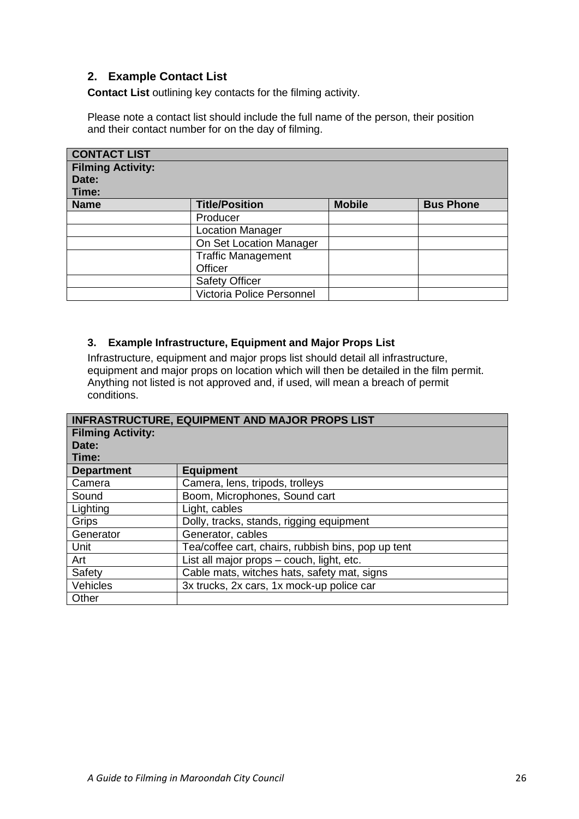# <span id="page-25-0"></span>**2. Example Contact List**

**Contact List** outlining key contacts for the filming activity.

Please note a contact list should include the full name of the person, their position and their contact number for on the day of filming.

| <b>CONTACT LIST</b>      |                           |               |                  |
|--------------------------|---------------------------|---------------|------------------|
| <b>Filming Activity:</b> |                           |               |                  |
| Date:                    |                           |               |                  |
| Time:                    |                           |               |                  |
| <b>Name</b>              | <b>Title/Position</b>     | <b>Mobile</b> | <b>Bus Phone</b> |
|                          | Producer                  |               |                  |
|                          | <b>Location Manager</b>   |               |                  |
|                          | On Set Location Manager   |               |                  |
|                          | <b>Traffic Management</b> |               |                  |
|                          | Officer                   |               |                  |
|                          | <b>Safety Officer</b>     |               |                  |
|                          | Victoria Police Personnel |               |                  |

### <span id="page-25-1"></span>**3. Example Infrastructure, Equipment and Major Props List**

Infrastructure, equipment and major props list should detail all infrastructure, equipment and major props on location which will then be detailed in the film permit. Anything not listed is not approved and, if used, will mean a breach of permit conditions.

|                          | <b>INFRASTRUCTURE, EQUIPMENT AND MAJOR PROPS LIST</b> |  |  |  |  |
|--------------------------|-------------------------------------------------------|--|--|--|--|
| <b>Filming Activity:</b> |                                                       |  |  |  |  |
| Date:                    |                                                       |  |  |  |  |
| Time:                    |                                                       |  |  |  |  |
| <b>Department</b>        | <b>Equipment</b>                                      |  |  |  |  |
| Camera                   | Camera, lens, tripods, trolleys                       |  |  |  |  |
| Sound                    | Boom, Microphones, Sound cart                         |  |  |  |  |
| Lighting                 | Light, cables                                         |  |  |  |  |
| Grips                    | Dolly, tracks, stands, rigging equipment              |  |  |  |  |
| Generator                | Generator, cables                                     |  |  |  |  |
| Unit                     | Tea/coffee cart, chairs, rubbish bins, pop up tent    |  |  |  |  |
| Art                      | List all major props - couch, light, etc.             |  |  |  |  |
| Safety                   | Cable mats, witches hats, safety mat, signs           |  |  |  |  |
| Vehicles                 | 3x trucks, 2x cars, 1x mock-up police car             |  |  |  |  |
| Other                    |                                                       |  |  |  |  |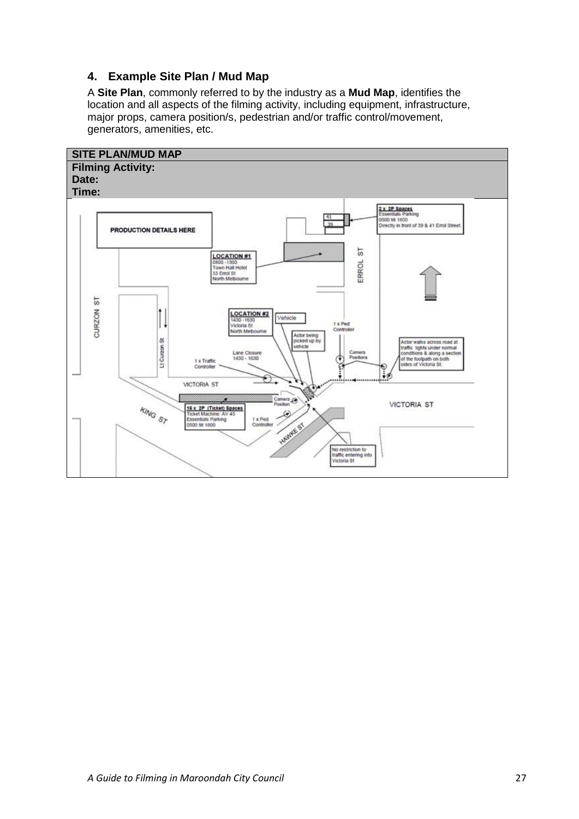# <span id="page-26-0"></span>**4. Example Site Plan / Mud Map**

A **Site Plan**, commonly referred to by the industry as a **Mud Map**, identifies the location and all aspects of the filming activity, including equipment, infrastructure, major props, camera position/s, pedestrian and/or traffic control/movement, generators, amenities, etc.

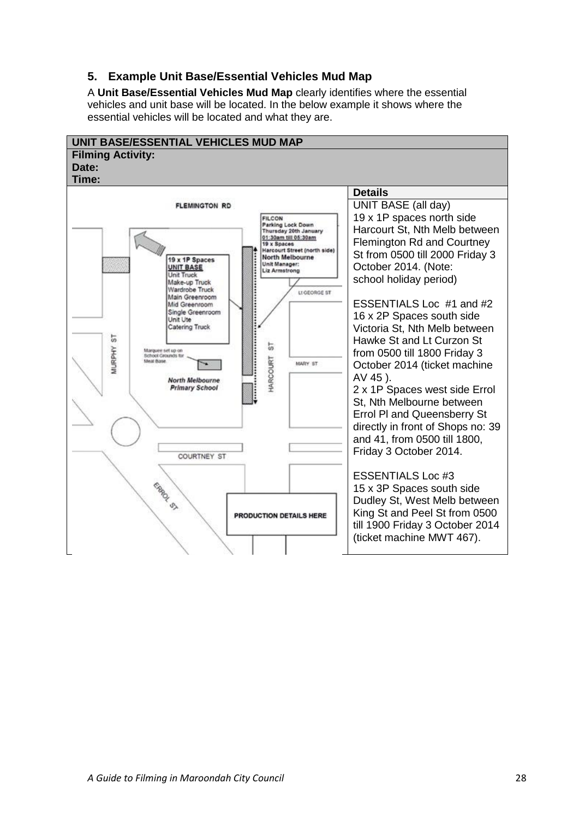# <span id="page-27-0"></span>**5. Example Unit Base/Essential Vehicles Mud Map**

A **Unit Base/Essential Vehicles Mud Map** clearly identifies where the essential vehicles and unit base will be located. In the below example it shows where the essential vehicles will be located and what they are.

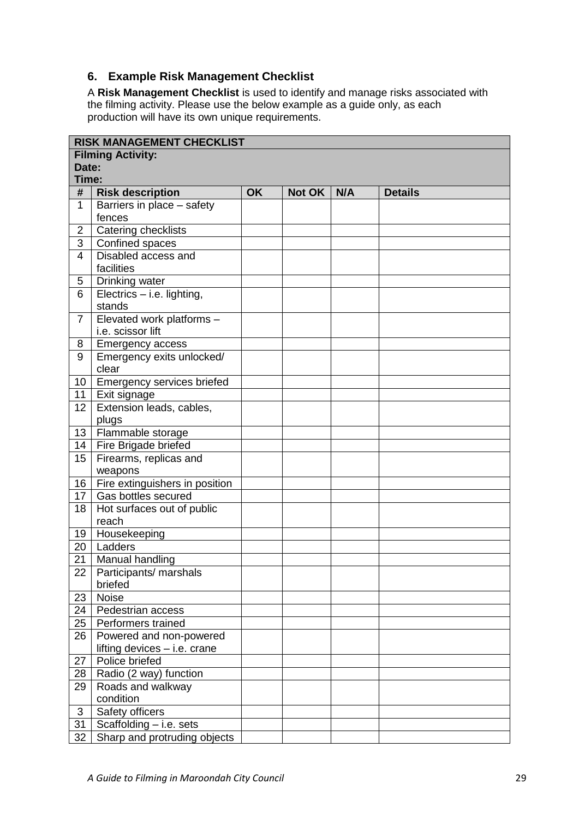# <span id="page-28-0"></span>**6. Example Risk Management Checklist**

A **Risk Management Checklist** is used to identify and manage risks associated with the filming activity. Please use the below example as a guide only, as each production will have its own unique requirements.

|                | <b>RISK MANAGEMENT CHECKLIST</b> |           |            |     |                |
|----------------|----------------------------------|-----------|------------|-----|----------------|
|                | <b>Filming Activity:</b>         |           |            |     |                |
| Date:          |                                  |           |            |     |                |
| Time:          |                                  |           |            |     |                |
| #              | <b>Risk description</b>          | <b>OK</b> | Not OK $ $ | N/A | <b>Details</b> |
| 1              | Barriers in place - safety       |           |            |     |                |
|                | fences                           |           |            |     |                |
| $\overline{2}$ | Catering checklists              |           |            |     |                |
| 3              | Confined spaces                  |           |            |     |                |
| 4              | Disabled access and              |           |            |     |                |
|                | facilities                       |           |            |     |                |
| 5              | Drinking water                   |           |            |     |                |
| 6              | Electrics - i.e. lighting,       |           |            |     |                |
|                | stands                           |           |            |     |                |
| $\overline{7}$ | Elevated work platforms -        |           |            |     |                |
|                | i.e. scissor lift                |           |            |     |                |
| 8              | Emergency access                 |           |            |     |                |
| 9              | Emergency exits unlocked/        |           |            |     |                |
|                | clear                            |           |            |     |                |
| 10             | Emergency services briefed       |           |            |     |                |
| 11             | Exit signage                     |           |            |     |                |
| 12             | Extension leads, cables,         |           |            |     |                |
|                | plugs                            |           |            |     |                |
| 13             | Flammable storage                |           |            |     |                |
| 14             | Fire Brigade briefed             |           |            |     |                |
| 15             | Firearms, replicas and           |           |            |     |                |
|                | weapons                          |           |            |     |                |
| 16             | Fire extinguishers in position   |           |            |     |                |
| 17             | Gas bottles secured              |           |            |     |                |
| 18             | Hot surfaces out of public       |           |            |     |                |
|                | reach                            |           |            |     |                |
| 19             | Housekeeping                     |           |            |     |                |
| 20             | Ladders                          |           |            |     |                |
| 21             | Manual handling                  |           |            |     |                |
| 22             | Participants/ marshals           |           |            |     |                |
|                | briefed                          |           |            |     |                |
| 23             | Noise                            |           |            |     |                |
| 24             | Pedestrian access                |           |            |     |                |
| 25             | Performers trained               |           |            |     |                |
| 26             | Powered and non-powered          |           |            |     |                |
|                | lifting devices - i.e. crane     |           |            |     |                |
| 27             | Police briefed                   |           |            |     |                |
| 28             | Radio (2 way) function           |           |            |     |                |
| 29             | Roads and walkway                |           |            |     |                |
|                | condition                        |           |            |     |                |
| $\mathfrak{B}$ | Safety officers                  |           |            |     |                |
| 31             | Scaffolding - i.e. sets          |           |            |     |                |
| 32             | Sharp and protruding objects     |           |            |     |                |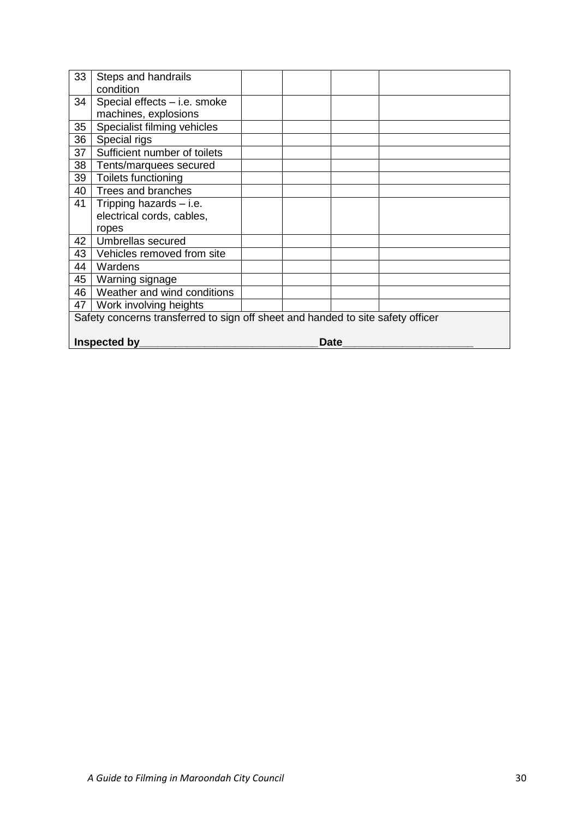| 33<br>Steps and handrails                                                       |  |  |  |  |
|---------------------------------------------------------------------------------|--|--|--|--|
| condition                                                                       |  |  |  |  |
| Special effects - i.e. smoke<br>34                                              |  |  |  |  |
| machines, explosions                                                            |  |  |  |  |
| Specialist filming vehicles<br>35                                               |  |  |  |  |
| 36<br>Special rigs                                                              |  |  |  |  |
| Sufficient number of toilets<br>37                                              |  |  |  |  |
| 38<br>Tents/marquees secured                                                    |  |  |  |  |
| Toilets functioning<br>39                                                       |  |  |  |  |
| Trees and branches<br>40                                                        |  |  |  |  |
| 41<br>Tripping hazards $-$ i.e.                                                 |  |  |  |  |
| electrical cords, cables,                                                       |  |  |  |  |
| ropes                                                                           |  |  |  |  |
| 42<br>Umbrellas secured                                                         |  |  |  |  |
| 43<br>Vehicles removed from site                                                |  |  |  |  |
| 44<br>Wardens                                                                   |  |  |  |  |
| 45<br>Warning signage                                                           |  |  |  |  |
| Weather and wind conditions<br>46                                               |  |  |  |  |
| 47<br>Work involving heights                                                    |  |  |  |  |
| Safety concerns transferred to sign off sheet and handed to site safety officer |  |  |  |  |
|                                                                                 |  |  |  |  |
| Inspected by<br>Date                                                            |  |  |  |  |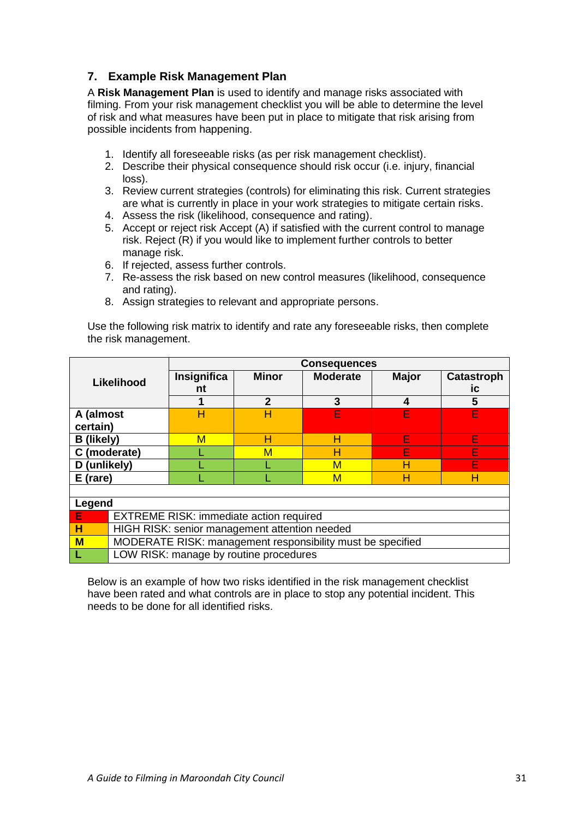# <span id="page-30-0"></span>**7. Example Risk Management Plan**

A **Risk Management Plan** is used to identify and manage risks associated with filming. From your risk management checklist you will be able to determine the level of risk and what measures have been put in place to mitigate that risk arising from possible incidents from happening.

- 1. Identify all foreseeable risks (as per risk management checklist).
- 2. Describe their physical consequence should risk occur (i.e. injury, financial loss).
- 3. Review current strategies (controls) for eliminating this risk. Current strategies are what is currently in place in your work strategies to mitigate certain risks.
- 4. Assess the risk (likelihood, consequence and rating).
- 5. Accept or reject risk Accept (A) if satisfied with the current control to manage risk. Reject (R) if you would like to implement further controls to better manage risk.
- 6. If rejected, assess further controls.
- 7. Re-assess the risk based on new control measures (likelihood, consequence and rating).
- 8. Assign strategies to relevant and appropriate persons.

Use the following risk matrix to identify and rate any foreseeable risks, then complete the risk management.

|                   |                                                            | <b>Consequences</b> |              |                 |              |            |
|-------------------|------------------------------------------------------------|---------------------|--------------|-----------------|--------------|------------|
| Likelihood        |                                                            | Insignifica         | <b>Minor</b> | <b>Moderate</b> | <b>Major</b> | Catastroph |
|                   |                                                            | nt                  |              |                 |              | ic         |
|                   |                                                            |                     | $\mathbf{2}$ | 3               | 4            | 5          |
| A (almost         |                                                            | Н                   | Н            | E               | Е            | Ε          |
| certain)          |                                                            |                     |              |                 |              |            |
| <b>B</b> (likely) |                                                            | М                   | н            | н               | F            | ь.         |
| C (moderate)      |                                                            |                     | М            | н               | F            | Е          |
| D (unlikely)      |                                                            |                     |              | М               |              | F          |
| $E$ (rare)        |                                                            |                     |              | М               | н            | н          |
|                   |                                                            |                     |              |                 |              |            |
| Legend            |                                                            |                     |              |                 |              |            |
| E                 | <b>EXTREME RISK: immediate action required</b>             |                     |              |                 |              |            |
| н                 | HIGH RISK: senior management attention needed              |                     |              |                 |              |            |
| $M$               | MODERATE RISK: management responsibility must be specified |                     |              |                 |              |            |
|                   | LOW RISK: manage by routine procedures                     |                     |              |                 |              |            |

Below is an example of how two risks identified in the risk management checklist have been rated and what controls are in place to stop any potential incident. This needs to be done for all identified risks.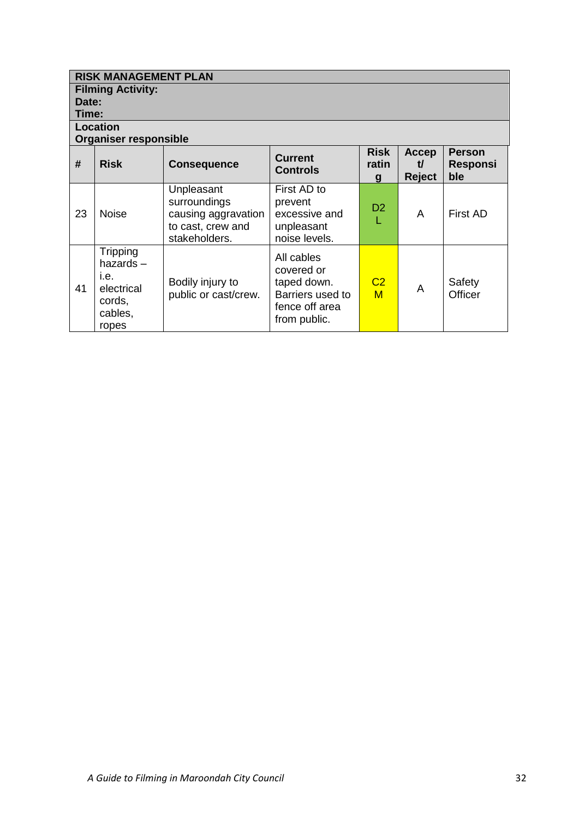|       | <b>RISK MANAGEMENT PLAN</b>                                                 |                                                                                         |                                                                                               |                           |                              |                                  |
|-------|-----------------------------------------------------------------------------|-----------------------------------------------------------------------------------------|-----------------------------------------------------------------------------------------------|---------------------------|------------------------------|----------------------------------|
|       | <b>Filming Activity:</b>                                                    |                                                                                         |                                                                                               |                           |                              |                                  |
| Date: |                                                                             |                                                                                         |                                                                                               |                           |                              |                                  |
| Time: |                                                                             |                                                                                         |                                                                                               |                           |                              |                                  |
|       | <b>Location</b>                                                             |                                                                                         |                                                                                               |                           |                              |                                  |
|       | <b>Organiser responsible</b>                                                |                                                                                         |                                                                                               |                           |                              |                                  |
| #     | <b>Risk</b>                                                                 | <b>Consequence</b>                                                                      | <b>Current</b><br><b>Controls</b>                                                             | <b>Risk</b><br>ratin<br>g | Accep<br>t/<br><b>Reject</b> | <b>Person</b><br>Responsi<br>ble |
| 23    | <b>Noise</b>                                                                | Unpleasant<br>surroundings<br>causing aggravation<br>to cast, crew and<br>stakeholders. | First AD to<br>prevent<br>excessive and<br>unpleasant<br>noise levels.                        | D <sub>2</sub><br>L       | A                            | First AD                         |
| 41    | Tripping<br>hazards $-$<br>i.e.<br>electrical<br>cords,<br>cables,<br>ropes | Bodily injury to<br>public or cast/crew.                                                | All cables<br>covered or<br>taped down.<br>Barriers used to<br>fence off area<br>from public. | C <sub>2</sub><br>M       | A                            | Safety<br>Officer                |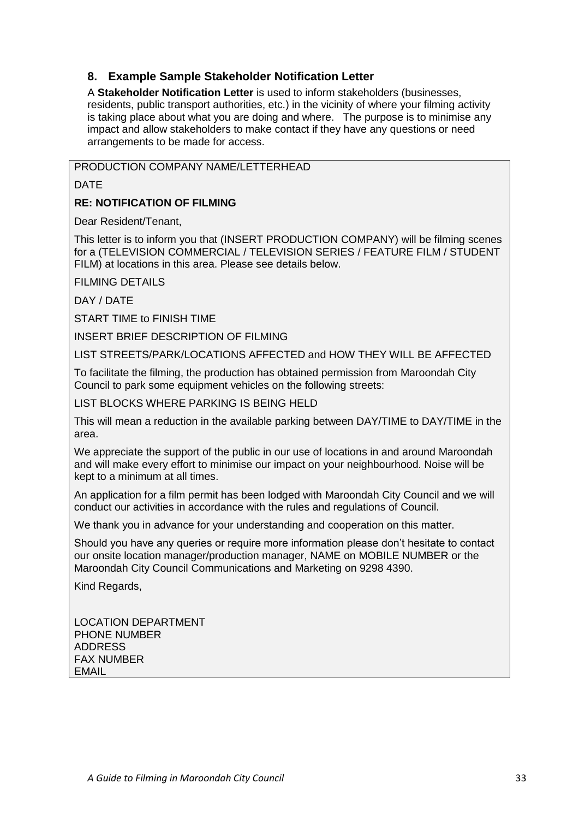# <span id="page-32-0"></span>**8. Example Sample Stakeholder Notification Letter**

A **Stakeholder Notification Letter** is used to inform stakeholders (businesses, residents, public transport authorities, etc.) in the vicinity of where your filming activity is taking place about what you are doing and where. The purpose is to minimise any impact and allow stakeholders to make contact if they have any questions or need arrangements to be made for access.

### PRODUCTION COMPANY NAME/LETTERHEAD

### DATE

# **RE: NOTIFICATION OF FILMING**

Dear Resident/Tenant,

This letter is to inform you that (INSERT PRODUCTION COMPANY) will be filming scenes for a (TELEVISION COMMERCIAL / TELEVISION SERIES / FEATURE FILM / STUDENT FILM) at locations in this area. Please see details below.

FILMING DETAILS

DAY / DATE

START TIME to FINISH TIME

INSERT BRIEF DESCRIPTION OF FILMING

LIST STREETS/PARK/LOCATIONS AFFECTED and HOW THEY WILL BE AFFECTED

To facilitate the filming, the production has obtained permission from Maroondah City Council to park some equipment vehicles on the following streets:

LIST BLOCKS WHERE PARKING IS BEING HELD

This will mean a reduction in the available parking between DAY/TIME to DAY/TIME in the area.

We appreciate the support of the public in our use of locations in and around Maroondah and will make every effort to minimise our impact on your neighbourhood. Noise will be kept to a minimum at all times.

An application for a film permit has been lodged with Maroondah City Council and we will conduct our activities in accordance with the rules and regulations of Council.

We thank you in advance for your understanding and cooperation on this matter.

Should you have any queries or require more information please don't hesitate to contact our onsite location manager/production manager, NAME on MOBILE NUMBER or the Maroondah City Council Communications and Marketing on 9298 4390.

Kind Regards,

LOCATION DEPARTMENT PHONE NUMBER ADDRESS FAX NUMBER EMAIL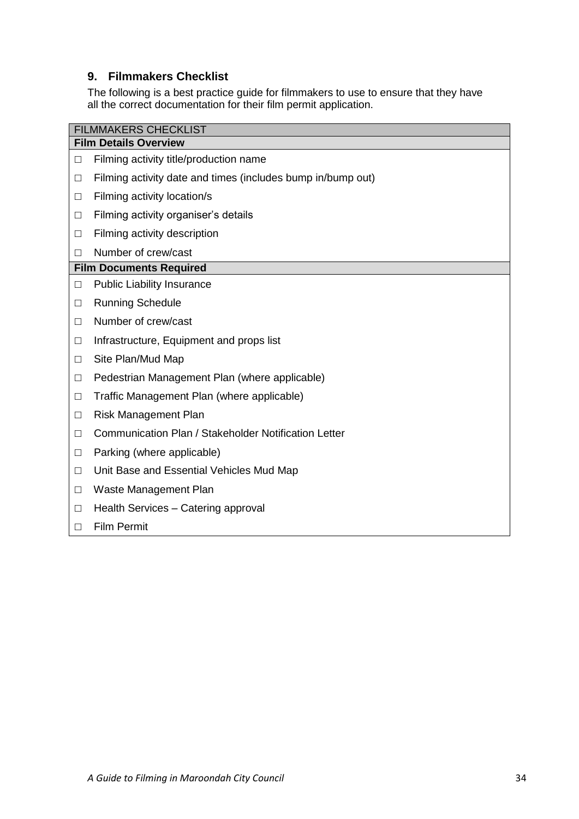# <span id="page-33-0"></span>**9. Filmmakers Checklist**

The following is a best practice guide for filmmakers to use to ensure that they have all the correct documentation for their film permit application.

|        | <b>FILMMAKERS CHECKLIST</b>                                 |
|--------|-------------------------------------------------------------|
|        | <b>Film Details Overview</b>                                |
| □      | Filming activity title/production name                      |
| $\Box$ | Filming activity date and times (includes bump in/bump out) |
| $\Box$ | Filming activity location/s                                 |
| □      | Filming activity organiser's details                        |
| □      | Filming activity description                                |
| П      | Number of crew/cast                                         |
|        | <b>Film Documents Required</b>                              |
| □      | <b>Public Liability Insurance</b>                           |
| □      | <b>Running Schedule</b>                                     |
| $\Box$ | Number of crew/cast                                         |
| $\Box$ | Infrastructure, Equipment and props list                    |
| $\Box$ | Site Plan/Mud Map                                           |
| $\Box$ | Pedestrian Management Plan (where applicable)               |
| $\Box$ | Traffic Management Plan (where applicable)                  |
| $\Box$ | <b>Risk Management Plan</b>                                 |
| $\Box$ | Communication Plan / Stakeholder Notification Letter        |
| □      | Parking (where applicable)                                  |
| $\Box$ | Unit Base and Essential Vehicles Mud Map                    |
| $\Box$ | Waste Management Plan                                       |
| □      | Health Services - Catering approval                         |
| $\Box$ | <b>Film Permit</b>                                          |